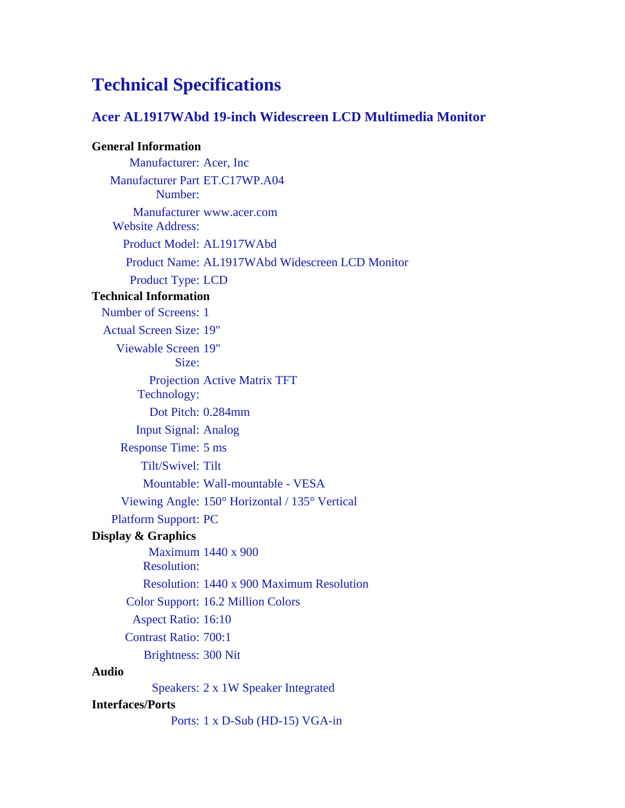## **Technical Specifications**

## **Acer AL1917WAbd 19-inch Widescreen LCD Multimedia Monitor**

## **General Information**

Manufacturer: Acer, Inc Manufacturer Part ET.C17WP.A04 Number: Manufacturer www.acer.com Website Address: Product Model: AL1917WAbd Product Name: AL1917WAbd Widescreen LCD Monitor Product Type: LCD **Technical Information** Number of Screens: 1 Actual Screen Size: 19" Viewable Screen 19" Size: Projection Active Matrix TFT Technology: Dot Pitch: 0.284mm Input Signal: Analog Response Time: 5 ms Tilt/Swivel: Tilt Mountable: Wall-mountable - VESA Viewing Angle: 150° Horizontal / 135° Vertical Platform Support: PC **Display & Graphics** Maximum 1440 x 900 Resolution: Resolution: 1440 x 900 Maximum Resolution Color Support: 16.2 Million Colors Aspect Ratio: 16:10 Contrast Ratio: 700:1 Brightness: 300 Nit **Audio** Speakers: 2 x 1W Speaker Integrated **Interfaces/Ports** Ports: 1 x D-Sub (HD-15) VGA-in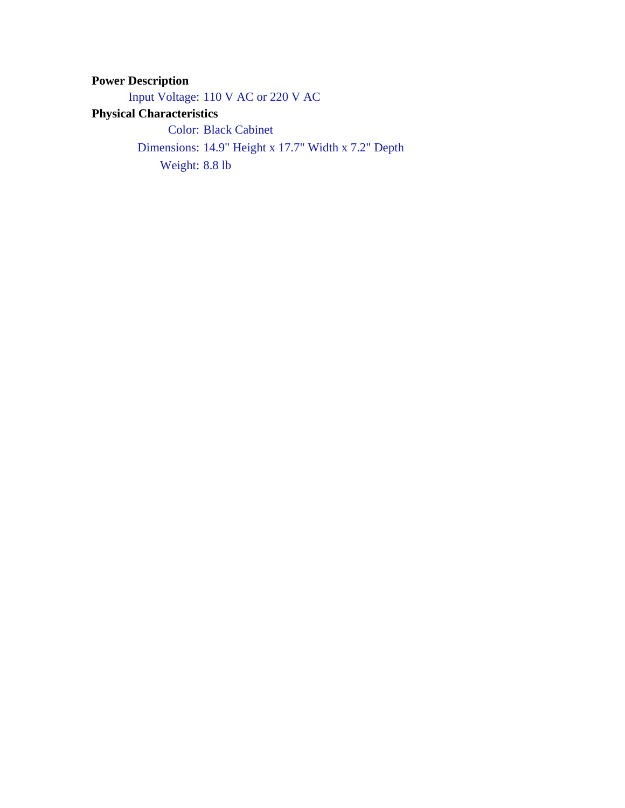**Power Description** Input Voltage: 110 V AC or 220 V AC **Physical Characteristics** Color: Black Cabinet Dimensions: 14.9" Height x 17.7" Width x 7.2" Depth Weight: 8.8 lb